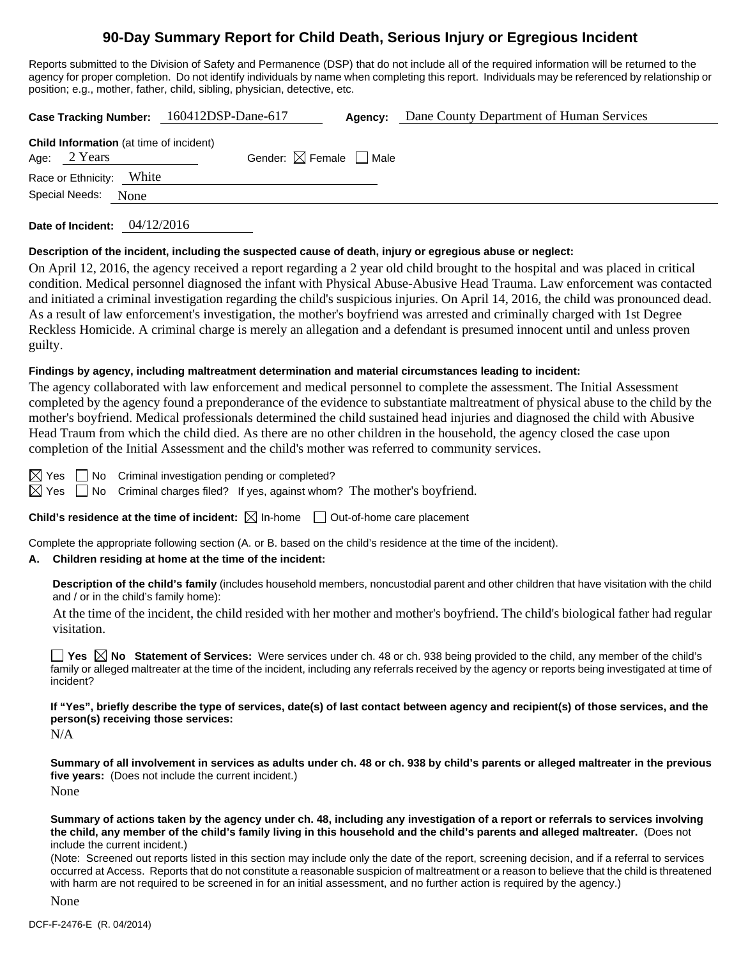## **90-Day Summary Report for Child Death, Serious Injury or Egregious Incident**

Reports submitted to the Division of Safety and Permanence (DSP) that do not include all of the required information will be returned to the agency for proper completion. Do not identify individuals by name when completing this report. Individuals may be referenced by relationship or position; e.g., mother, father, child, sibling, physician, detective, etc.

|                                                |      | Case Tracking Number: 160412DSP-Dane-617 | Agency: | Dane County Department of Human Services |
|------------------------------------------------|------|------------------------------------------|---------|------------------------------------------|
| <b>Child Information</b> (at time of incident) |      |                                          |         |                                          |
| Age: $2$ Years                                 |      | Gender: $\boxtimes$ Female $\Box$ Male   |         |                                          |
| Race or Ethnicity: White                       |      |                                          |         |                                          |
| Special Needs:                                 | None |                                          |         |                                          |
|                                                |      |                                          |         |                                          |

**Date of Incident:** 04/12/2016

#### **Description of the incident, including the suspected cause of death, injury or egregious abuse or neglect:**

On April 12, 2016, the agency received a report regarding a 2 year old child brought to the hospital and was placed in critical condition. Medical personnel diagnosed the infant with Physical Abuse-Abusive Head Trauma. Law enforcement was contacted and initiated a criminal investigation regarding the child's suspicious injuries. On April 14, 2016, the child was pronounced dead. As a result of law enforcement's investigation, the mother's boyfriend was arrested and criminally charged with 1st Degree Reckless Homicide. A criminal charge is merely an allegation and a defendant is presumed innocent until and unless proven guilty.

#### **Findings by agency, including maltreatment determination and material circumstances leading to incident:**

The agency collaborated with law enforcement and medical personnel to complete the assessment. The Initial Assessment completed by the agency found a preponderance of the evidence to substantiate maltreatment of physical abuse to the child by the mother's boyfriend. Medical professionals determined the child sustained head injuries and diagnosed the child with Abusive Head Traum from which the child died. As there are no other children in the household, the agency closed the case upon completion of the Initial Assessment and the child's mother was referred to community services.

 $\boxtimes$  Yes  $\Box$  No Criminal investigation pending or completed?

 $\boxtimes$  Yes  $\Box$  No Criminal charges filed? If yes, against whom? The mother's boyfriend.

#### **Child's residence at the time of incident:**  $\boxtimes$  In-home  $\Box$  Out-of-home care placement

Complete the appropriate following section (A. or B. based on the child's residence at the time of the incident).

## **A. Children residing at home at the time of the incident:**

**Description of the child's family** (includes household members, noncustodial parent and other children that have visitation with the child and / or in the child's family home):

 At the time of the incident, the child resided with her mother and mother's boyfriend. The child's biological father had regular visitation.

**Yes No Statement of Services:** Were services under ch. 48 or ch. 938 being provided to the child, any member of the child's family or alleged maltreater at the time of the incident, including any referrals received by the agency or reports being investigated at time of incident?

**If "Yes", briefly describe the type of services, date(s) of last contact between agency and recipient(s) of those services, and the person(s) receiving those services:** 

N/A

**Summary of all involvement in services as adults under ch. 48 or ch. 938 by child's parents or alleged maltreater in the previous five years:** (Does not include the current incident.)

None

**Summary of actions taken by the agency under ch. 48, including any investigation of a report or referrals to services involving the child, any member of the child's family living in this household and the child's parents and alleged maltreater.** (Does not include the current incident.)

(Note: Screened out reports listed in this section may include only the date of the report, screening decision, and if a referral to services occurred at Access. Reports that do not constitute a reasonable suspicion of maltreatment or a reason to believe that the child is threatened with harm are not required to be screened in for an initial assessment, and no further action is required by the agency.)

None